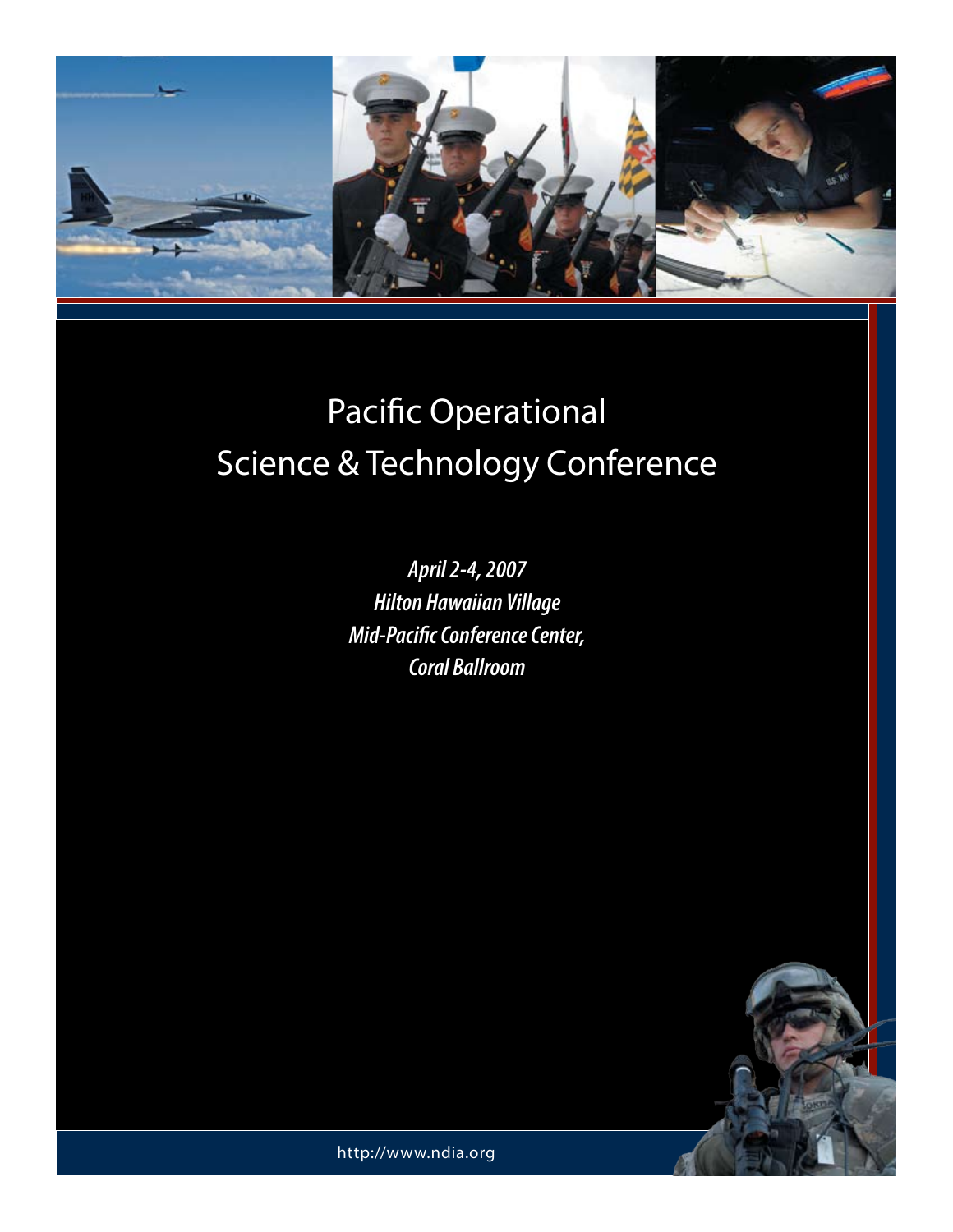

*April 2-4, 2007 Hilton Hawaiian Village Mid-Pacific Conference Center, Coral Ballroom* 



http://www.ndia.org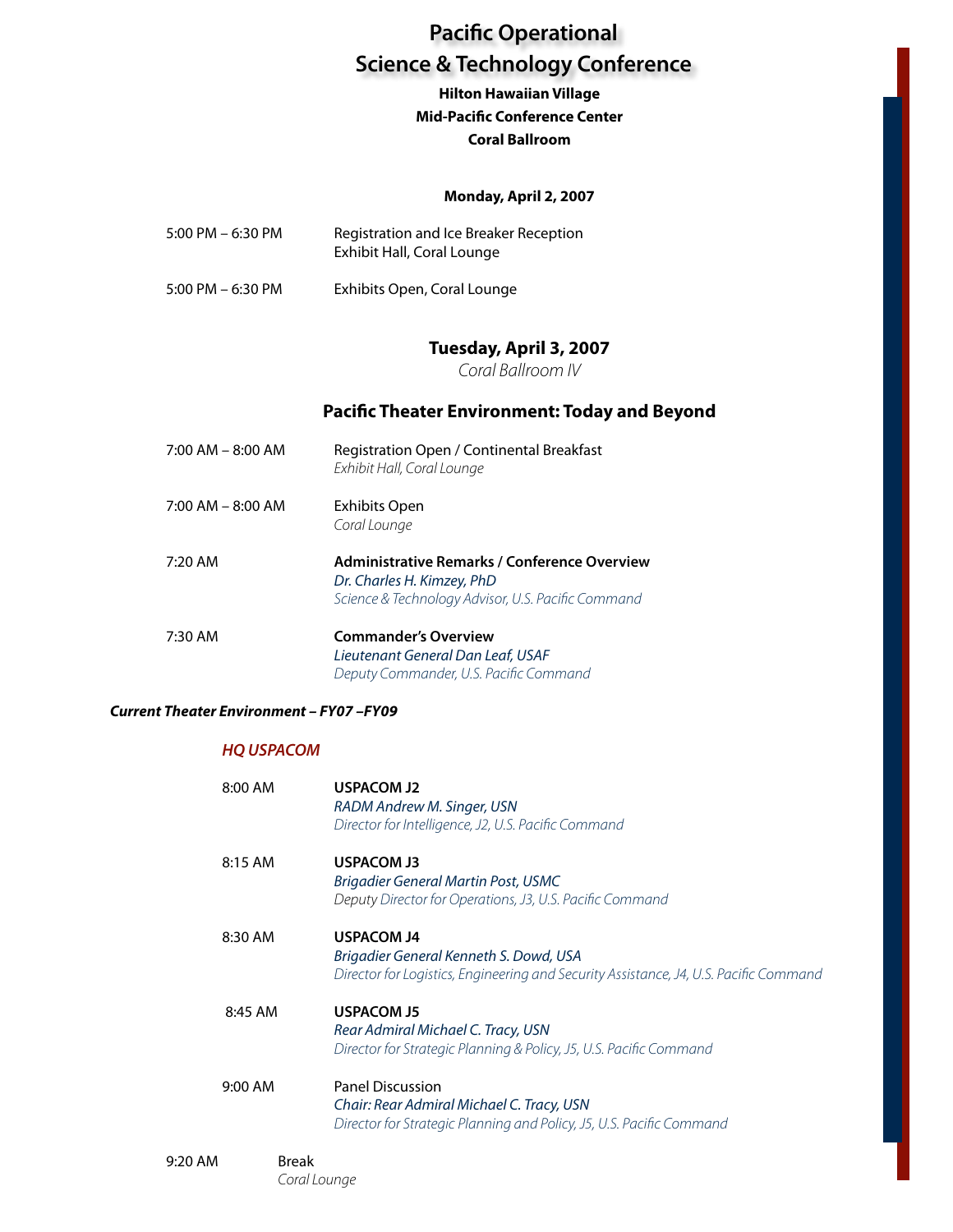# **Hilton Hawaiian Village Mid-Pacific Conference Center Coral Ballroom**

# **Monday, April 2, 2007**

| $5:00$ PM $-6:30$ PM | Registration and Ice Breaker Reception<br>Exhibit Hall, Coral Lounge |
|----------------------|----------------------------------------------------------------------|
|                      |                                                                      |

5:00 PM – 6:30 PM Exhibits Open, Coral Lounge

# **Tuesday, April 3, 2007**

*Coral Ballroom IV*

# **Pacific Theater Environment: Today and Beyond**

| $7:00$ AM $-$ 8:00 AM | Registration Open / Continental Breakfast<br>Exhibit Hall, Coral Lounge                                                          |
|-----------------------|----------------------------------------------------------------------------------------------------------------------------------|
| $7:00$ AM $-$ 8:00 AM | Exhibits Open<br>Coral Lounge                                                                                                    |
| 7:20 AM               | Administrative Remarks / Conference Overview<br>Dr. Charles H. Kimzey, PhD<br>Science & Technology Advisor, U.S. Pacific Command |
| 7:30 AM               | <b>Commander's Overview</b><br>Lieutenant General Dan Leaf, USAF<br>Deputy Commander, U.S. Pacific Command                       |

## *Current Theater Environment – FY07 –FY09*

# *HQ USPACOM*

| 8:00 AM   | <b>USPACOM J2</b><br>RADM Andrew M. Singer, USN<br>Director for Intelligence, J2, U.S. Pacific Command                                               |
|-----------|------------------------------------------------------------------------------------------------------------------------------------------------------|
| 8:15 AM   | <b>USPACOM J3</b><br><b>Brigadier General Martin Post, USMC</b><br>Deputy Director for Operations, J3, U.S. Pacific Command                          |
| 8:30 AM   | <b>USPACOM J4</b><br>Brigadier General Kenneth S. Dowd, USA<br>Director for Logistics, Engineering and Security Assistance, J4, U.S. Pacific Command |
| 8:45 AM   | <b>USPACOM J5</b><br>Rear Admiral Michael C. Tracy, USN<br>Director for Strategic Planning & Policy, J5, U.S. Pacific Command                        |
| 9:00 AM   | <b>Panel Discussion</b><br>Chair: Rear Admiral Michael C. Tracy, USN<br>Director for Strategic Planning and Policy, J5, U.S. Pacific Command         |
| $9:20$ AM | <b>Break</b><br>Coral Lounge                                                                                                                         |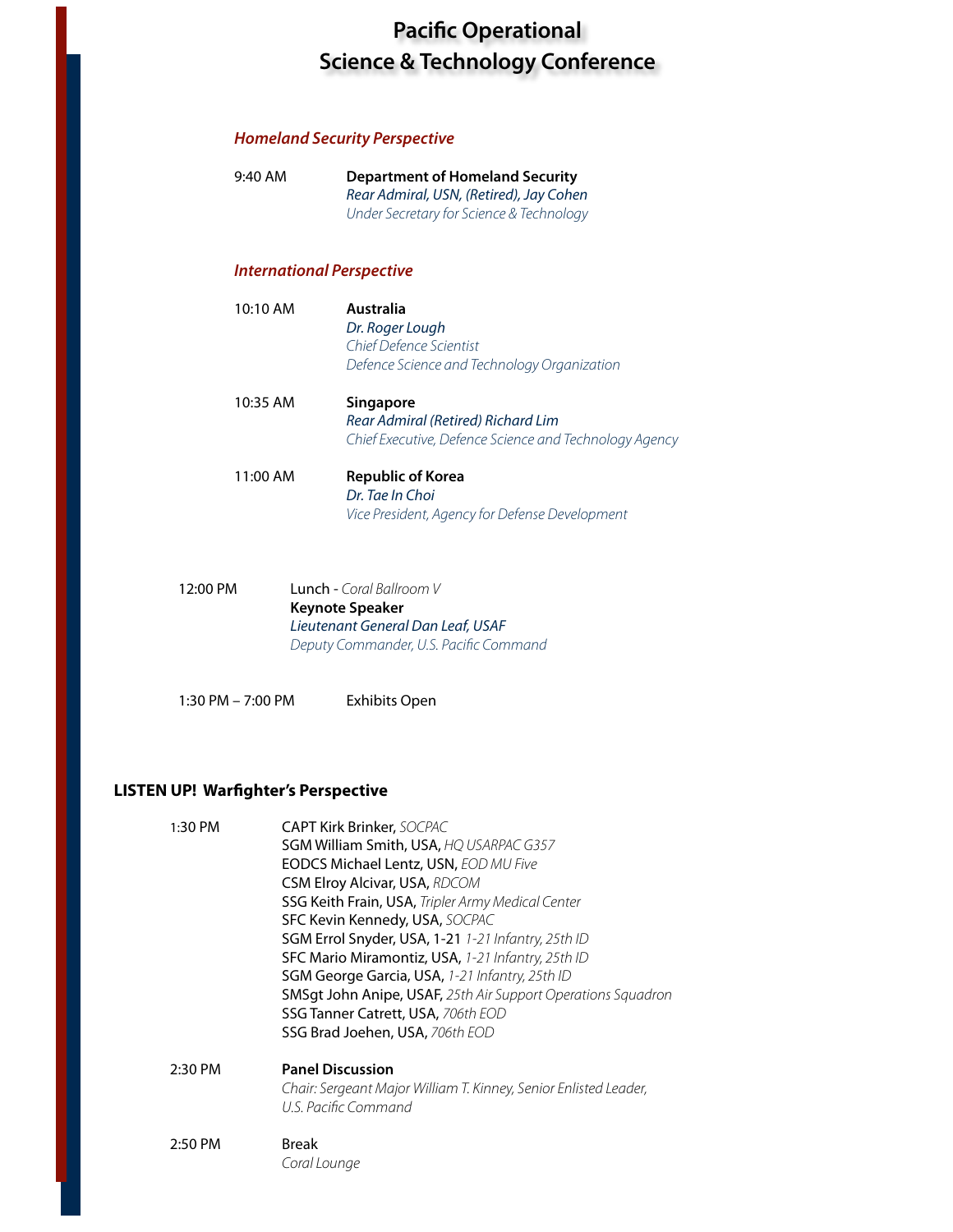# *Homeland Security Perspective*

| $9:40$ AM                        | <b>Department of Homeland Security</b><br>Rear Admiral, USN, (Retired), Jay Cohen<br>Under Secretary for Science & Technology |
|----------------------------------|-------------------------------------------------------------------------------------------------------------------------------|
| <b>International Perspective</b> |                                                                                                                               |
| $10:10$ AM                       | Australia<br>Dr. Roger Lough<br>Chief Defence Scientist<br>Defence Science and Technology Organization                        |
| 10:35 AM                         | <b>Singapore</b><br>Rear Admiral (Retired) Richard Lim<br>Chief Executive, Defence Science and Technology Agency              |
| $11:00$ AM                       | Republic of Korea<br>Dr. Tae In Choi<br>Vice President, Agency for Defense Development                                        |
| 12:00 PM                         | <b>Lunch -</b> Coral Ballroom V                                                                                               |

 **Keynote Speaker**  *Lieutenant General Dan Leaf, USAF Deputy Commander, U.S. Pacific Command*

1:30 PM – 7:00 PM Exhibits Open

# **LISTEN UP! Warfighter's Perspective**

| 1:30 PM | <b>CAPT Kirk Brinker, SOCPAC</b>                                                         |
|---------|------------------------------------------------------------------------------------------|
|         | SGM William Smith, USA, HQ USARPAC G357                                                  |
|         | <b>EODCS Michael Lentz, USN, EOD MU Five</b>                                             |
|         | <b>CSM Elroy Alcivar, USA, RDCOM</b>                                                     |
|         | SSG Keith Frain, USA, Tripler Army Medical Center                                        |
|         | SFC Kevin Kennedy, USA, SOCPAC                                                           |
|         | SGM Errol Snyder, USA, 1-21 1-21 Infantry, 25th ID                                       |
|         | SFC Mario Miramontiz, USA, 1-21 Infantry, 25th ID                                        |
|         | SGM George Garcia, USA, 1-21 Infantry, 25th ID                                           |
|         | SMSgt John Anipe, USAF, 25th Air Support Operations Squadron                             |
|         | SSG Tanner Catrett, USA, 706th EOD                                                       |
|         | SSG Brad Joehen, USA, 706th EOD                                                          |
| 2:30 PM | <b>Panel Discussion</b>                                                                  |
|         | Chair: Sergeant Major William T. Kinney, Senior Enlisted Leader,<br>U.S. Pacific Command |

2:50 PM Break  *Coral Lounge*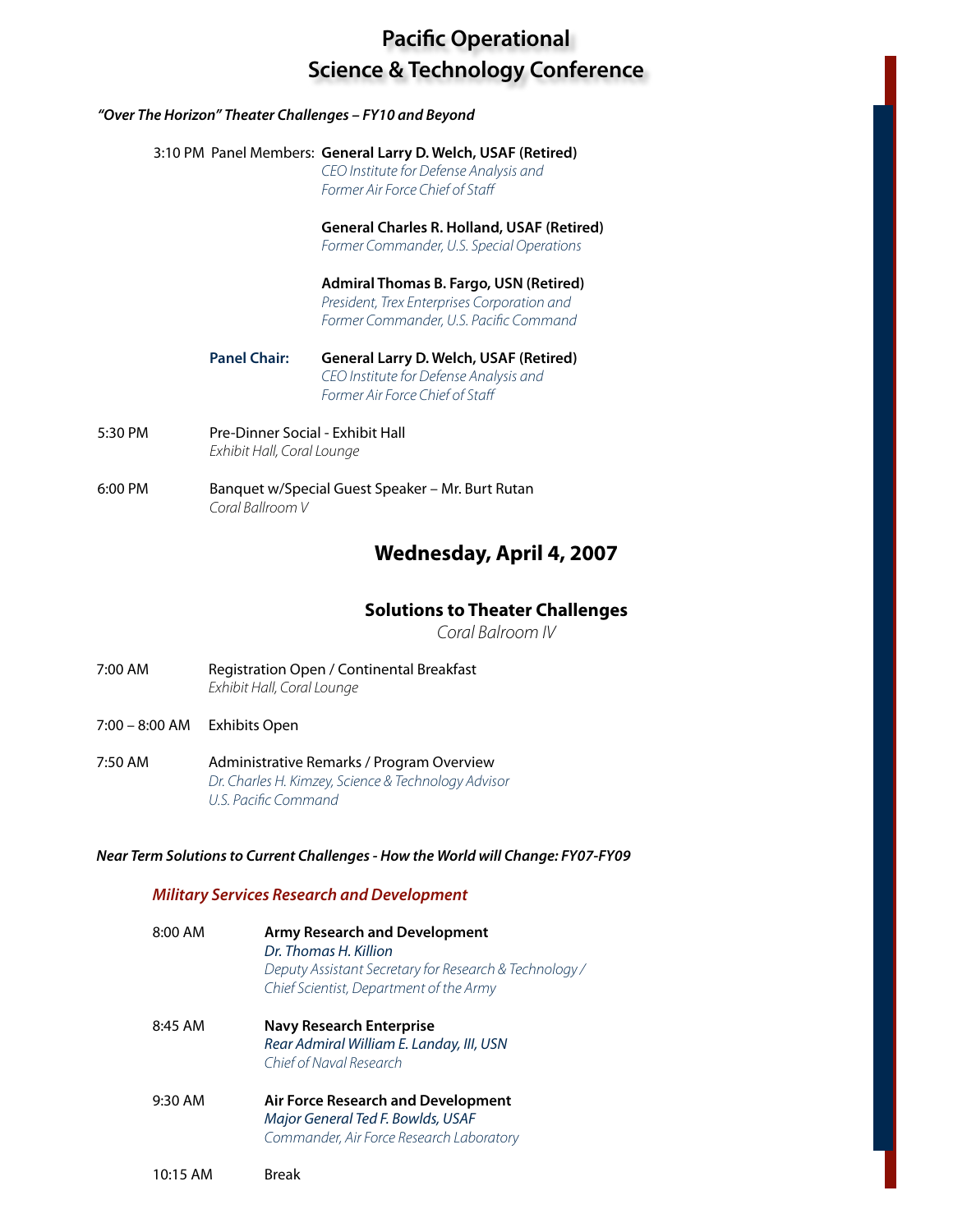#### *"Over The Horizon" Theater Challenges – FY10 and Beyond*

# 3:10 PM Panel Members: **General Larry D. Welch, USAF (Retired)**

 *CEO Institute for Defense Analysis and Former Air Force Chief of Staff*

**General Charles R. Holland, USAF (Retired)** 

 *Former Commander, U.S. Special Operations*

 **Admiral Thomas B. Fargo, USN (Retired)** *President, Trex Enterprises Corporation and Former Commander, U.S. Pacific Command*

- **Panel Chair: General Larry D. Welch, USAF (Retired)**  *CEO Institute for Defense Analysis and Former Air Force Chief of Staff*
- 5:30 PM Pre-Dinner Social Exhibit Hall *Exhibit Hall, Coral Lounge*
- 6:00 PM Banquet w/Special Guest Speaker Mr. Burt Rutan *Coral Ballroom V*

# **Wednesday, April 4, 2007**

# **Solutions to Theater Challenges**

*Coral Balroom IV*

- 7:00 AM Registration Open / Continental Breakfast  *Exhibit Hall, Coral Lounge*
- 7:00 8:00 AM Exhibits Open
- 7:50 AM Administrative Remarks / Program Overview *Dr. Charles H. Kimzey, Science & Technology Advisor U.S. Pacific Command*

# *Near Term Solutionsto Current Challenges- How the World will Change: FY07-FY09*

# *Military Services Research and Development*

| 8:00 AM   | Army Research and Development<br>Dr. Thomas H. Killion<br>Deputy Assistant Secretary for Research & Technology /<br>Chief Scientist, Department of the Army |
|-----------|-------------------------------------------------------------------------------------------------------------------------------------------------------------|
| $8:45$ AM | <b>Navy Research Enterprise</b><br>Rear Admiral William E. Landay, III, USN<br>Chief of Naval Research                                                      |
| $9:30$ AM | Air Force Research and Development<br>Major General Ted F. Bowlds, USAF<br>Commander, Air Force Research Laboratory                                         |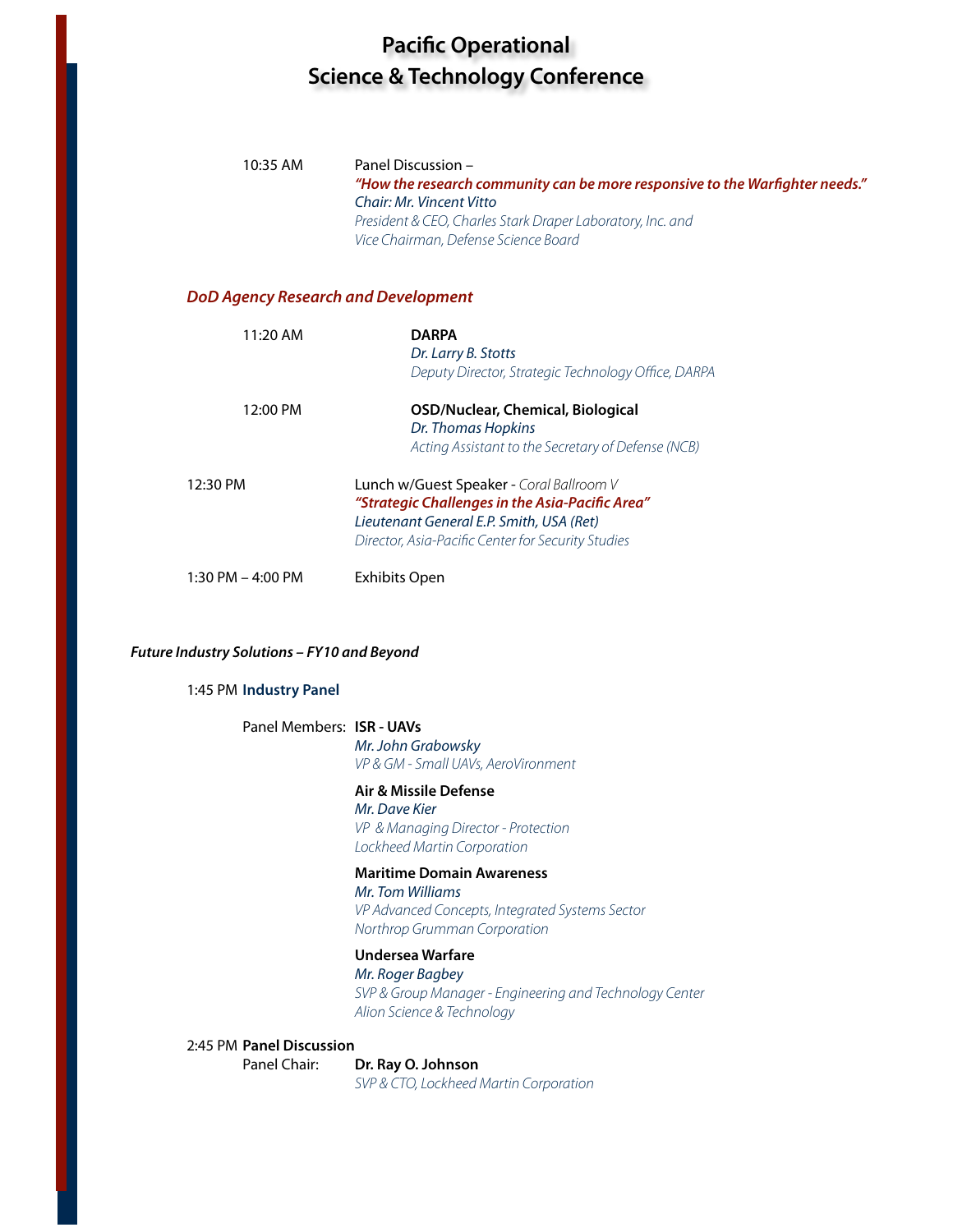| 10:35 AM                                   | Panel Discussion -<br>"How the research community can be more responsive to the Warfighter needs."<br>Chair: Mr. Vincent Vitto<br>President & CEO, Charles Stark Draper Laboratory, Inc. and<br>Vice Chairman, Defense Science Board |
|--------------------------------------------|--------------------------------------------------------------------------------------------------------------------------------------------------------------------------------------------------------------------------------------|
| <b>DoD Agency Research and Development</b> |                                                                                                                                                                                                                                      |
| 11:20 AM                                   | <b>DARPA</b><br>Dr. Larry B. Stotts<br>Deputy Director, Strategic Technology Office, DARPA                                                                                                                                           |
| 12:00 PM                                   | <b>OSD/Nuclear, Chemical, Biological</b><br>Dr. Thomas Hopkins<br>Acting Assistant to the Secretary of Defense (NCB)                                                                                                                 |
| 12:30 PM                                   | Lunch w/Guest Speaker - Coral Ballroom V<br>"Strategic Challenges in the Asia-Pacific Area"<br>Lieutenant General E.P. Smith, USA (Ret)<br>Director, Asia-Pacific Center for Security Studies                                        |
| 1:30 PM - 4:00 PM                          | Exhibits Open                                                                                                                                                                                                                        |
|                                            |                                                                                                                                                                                                                                      |

#### *Future Industry Solutions – FY10 and Beyond*

#### 1:45 PM **Industry Panel**

# Panel Members: **ISR - UAVs**

 *Mr. John Grabowsky VP & GM - Small UAVs, AeroVironment* 

#### **Air & Missile Defense**

*Mr. Dave Kier VP & Managing Director - Protection Lockheed Martin Corporation*

## **Maritime Domain Awareness**

*Mr. Tom Williams VP Advanced Concepts, Integrated Systems Sector Northrop Grumman Corporation*

#### **Undersea Warfare**

*Mr. Roger Bagbey*

*SVP & Group Manager - Engineering and Technology Center Alion Science & Technology* 

### 2:45 PM **Panel Discussion**

 Panel Chair: **Dr. Ray O. Johnson**  *SVP & CTO, Lockheed Martin Corporation*